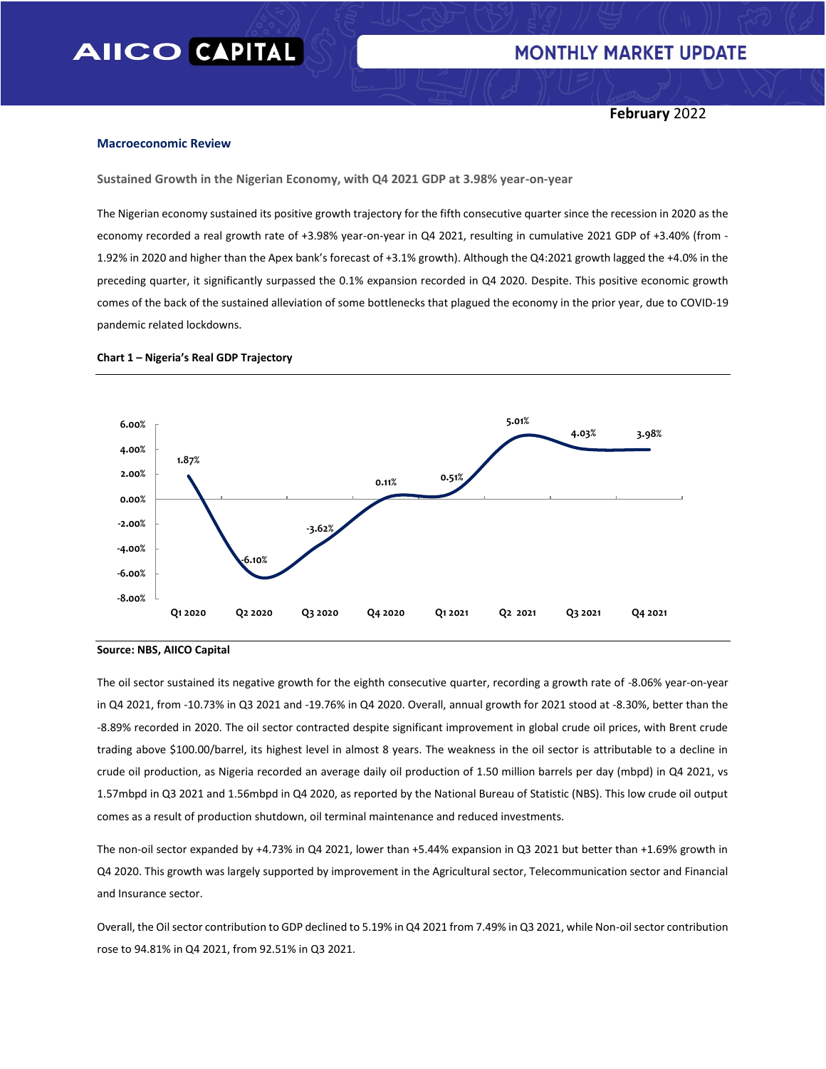**February** 2022

#### **Macroeconomic Review**

**Sustained Growth in the Nigerian Economy, with Q4 2021 GDP at 3.98% year-on-year**

The Nigerian economy sustained its positive growth trajectory for the fifth consecutive quarter since the recession in 2020 as the economy recorded a real growth rate of +3.98% year-on-year in Q4 2021, resulting in cumulative 2021 GDP of +3.40% (from - 1.92% in 2020 and higher than the Apex bank's forecast of +3.1% growth). Although the Q4:2021 growth lagged the +4.0% in the preceding quarter, it significantly surpassed the 0.1% expansion recorded in Q4 2020. Despite. This positive economic growth comes of the back of the sustained alleviation of some bottlenecks that plagued the economy in the prior year, due to COVID-19 pandemic related lockdowns.



#### **Chart 1 – Nigeria's Real GDP Trajectory**

The oil sector sustained its negative growth for the eighth consecutive quarter, recording a growth rate of -8.06% year-on-year in Q4 2021, from -10.73% in Q3 2021 and -19.76% in Q4 2020. Overall, annual growth for 2021 stood at -8.30%, better than the -8.89% recorded in 2020. The oil sector contracted despite significant improvement in global crude oil prices, with Brent crude trading above \$100.00/barrel, its highest level in almost 8 years. The weakness in the oil sector is attributable to a decline in crude oil production, as Nigeria recorded an average daily oil production of 1.50 million barrels per day (mbpd) in Q4 2021, vs 1.57mbpd in Q3 2021 and 1.56mbpd in Q4 2020, as reported by the National Bureau of Statistic (NBS). This low crude oil output comes as a result of production shutdown, oil terminal maintenance and reduced investments.

The non-oil sector expanded by +4.73% in Q4 2021, lower than +5.44% expansion in Q3 2021 but better than +1.69% growth in Q4 2020. This growth was largely supported by improvement in the Agricultural sector, Telecommunication sector and Financial and Insurance sector.

Overall, the Oil sector contribution to GDP declined to 5.19% in Q4 2021 from 7.49% in Q3 2021, while Non-oil sector contribution rose to 94.81% in Q4 2021, from 92.51% in Q3 2021.

**Source: NBS, AIICO Capital**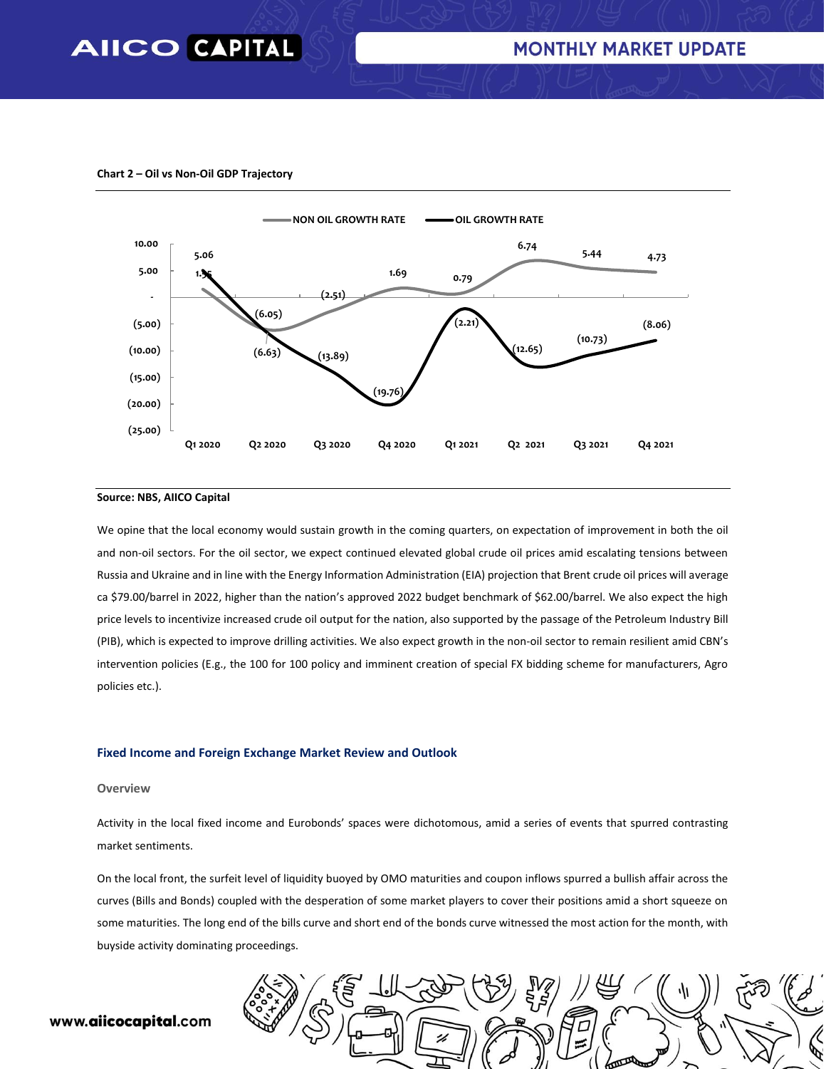

**Chart 2 – Oil vs Non-Oil GDP Trajectory**

#### **Source: NBS, AIICO Capital**

We opine that the local economy would sustain growth in the coming quarters, on expectation of improvement in both the oil and non-oil sectors. For the oil sector, we expect continued elevated global crude oil prices amid escalating tensions between Russia and Ukraine and in line with the Energy Information Administration (EIA) projection that Brent crude oil prices will average ca \$79.00/barrel in 2022, higher than the nation's approved 2022 budget benchmark of \$62.00/barrel. We also expect the high price levels to incentivize increased crude oil output for the nation, also supported by the passage of the Petroleum Industry Bill (PIB), which is expected to improve drilling activities. We also expect growth in the non-oil sector to remain resilient amid CBN's intervention policies (E.g., the 100 for 100 policy and imminent creation of special FX bidding scheme for manufacturers, Agro policies etc.).

#### **Fixed Income and Foreign Exchange Market Review and Outlook**

#### **Overview**

Activity in the local fixed income and Eurobonds' spaces were dichotomous, amid a series of events that spurred contrasting market sentiments.

On the local front, the surfeit level of liquidity buoyed by OMO maturities and coupon inflows spurred a bullish affair across the curves (Bills and Bonds) coupled with the desperation of some market players to cover their positions amid a short squeeze on some maturities. The long end of the bills curve and short end of the bonds curve witnessed the most action for the month, with buyside activity dominating proceedings.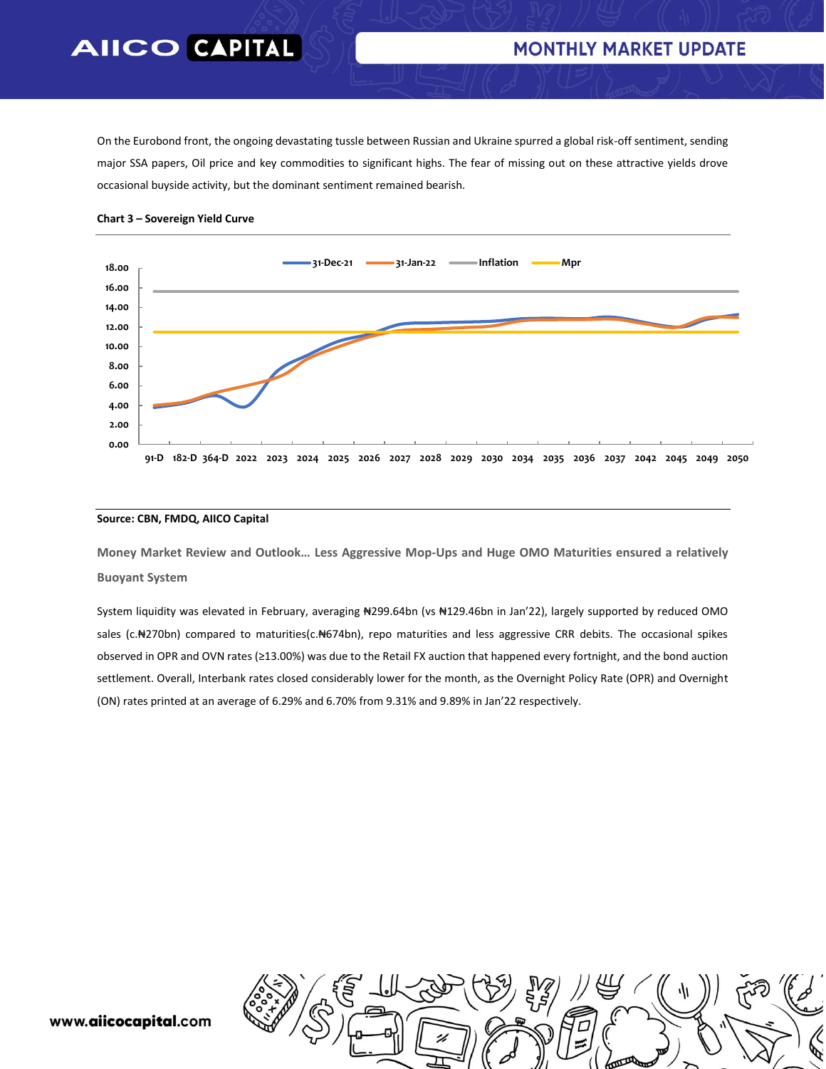### **MONTHLY MARKET UPDATE**

On the Eurobond front, the ongoing devastating tussle between Russian and Ukraine spurred a global risk-off sentiment, sending major SSA papers, Oil price and key commodities to significant highs. The fear of missing out on these attractive yields drove occasional buyside activity, but the dominant sentiment remained bearish.





#### **Source: CBN, FMDQ, AIICO Capital**

**Money Market Review and Outlook… Less Aggressive Mop-Ups and Huge OMO Maturities ensured a relatively Buoyant System**

System liquidity was elevated in February, averaging N299.64bn (vs N129.46bn in Jan'22), largely supported by reduced OMO sales (c.N270bn) compared to maturities(c.N674bn), repo maturities and less aggressive CRR debits. The occasional spikes observed in OPR and OVN rates (≥13.00%) was due to the Retail FX auction that happened every fortnight, and the bond auction settlement. Overall, Interbank rates closed considerably lower for the month, as the Overnight Policy Rate (OPR) and Overnight (ON) rates printed at an average of 6.29% and 6.70% from 9.31% and 9.89% in Jan'22 respectively.

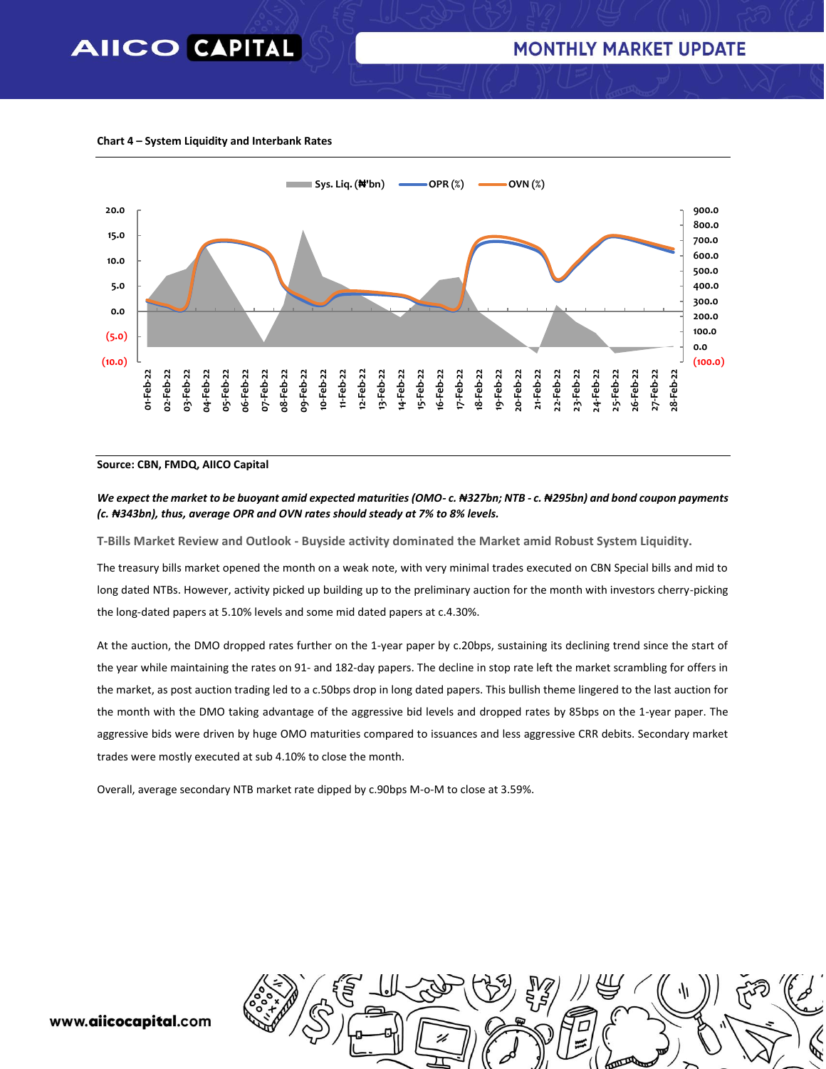#### **Chart 4 – System Liquidity and Interbank Rates**



#### **Source: CBN, FMDQ, AIICO Capital**

#### *We expect the market to be buoyant amid expected maturities (OMO- c. ₦327bn; NTB - c. ₦295bn) and bond coupon payments (c. ₦343bn), thus, average OPR and OVN rates should steady at 7% to 8% levels.*

**T-Bills Market Review and Outlook - Buyside activity dominated the Market amid Robust System Liquidity.**

The treasury bills market opened the month on a weak note, with very minimal trades executed on CBN Special bills and mid to long dated NTBs. However, activity picked up building up to the preliminary auction for the month with investors cherry-picking the long-dated papers at 5.10% levels and some mid dated papers at c.4.30%.

At the auction, the DMO dropped rates further on the 1-year paper by c.20bps, sustaining its declining trend since the start of the year while maintaining the rates on 91- and 182-day papers. The decline in stop rate left the market scrambling for offers in the market, as post auction trading led to a c.50bps drop in long dated papers. This bullish theme lingered to the last auction for the month with the DMO taking advantage of the aggressive bid levels and dropped rates by 85bps on the 1-year paper. The aggressive bids were driven by huge OMO maturities compared to issuances and less aggressive CRR debits. Secondary market trades were mostly executed at sub 4.10% to close the month.

Overall, average secondary NTB market rate dipped by c.90bps M-o-M to close at 3.59%.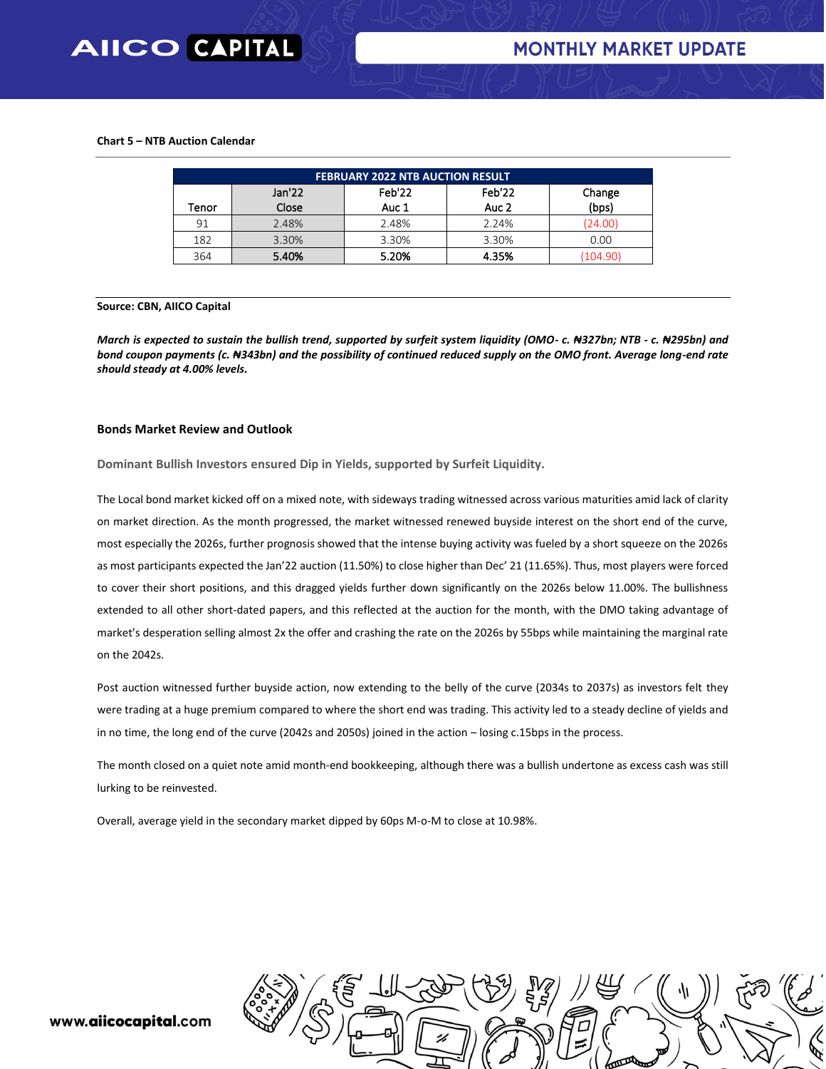#### **Chart 5 – NTB Auction Calendar**

| <b>FEBRUARY 2022 NTB AUCTION RESULT</b> |        |        |        |          |  |  |  |  |
|-----------------------------------------|--------|--------|--------|----------|--|--|--|--|
|                                         | Jan'22 | Feb'22 | Feb'22 | Change   |  |  |  |  |
| Tenor                                   | Close  | Auc 1  | Auc 2  | (bps)    |  |  |  |  |
| 91                                      | 2.48%  | 2.48%  | 2.24%  | (24.00)  |  |  |  |  |
| 182                                     | 3.30%  | 3.30%  | 3.30%  | 0.00     |  |  |  |  |
| 364                                     | 5.40%  | 5.20%  | 4.35%  | (104.90) |  |  |  |  |

#### **Source: CBN, AIICO Capital**

*March is expected to sustain the bullish trend, supported by surfeit system liquidity (OMO- c. ₦327bn; NTB - c. ₦295bn) and bond coupon payments (c. ₦343bn) and the possibility of continued reduced supply on the OMO front. Average long-end rate should steady at 4.00% levels.*

#### **Bonds Market Review and Outlook**

**Dominant Bullish Investors ensured Dip in Yields, supported by Surfeit Liquidity.** 

The Local bond market kicked off on a mixed note, with sideways trading witnessed across various maturities amid lack of clarity on market direction. As the month progressed, the market witnessed renewed buyside interest on the short end of the curve, most especially the 2026s, further prognosis showed that the intense buying activity was fueled by a short squeeze on the 2026s as most participants expected the Jan'22 auction (11.50%) to close higher than Dec' 21 (11.65%). Thus, most players were forced to cover their short positions, and this dragged yields further down significantly on the 2026s below 11.00%. The bullishness extended to all other short-dated papers, and this reflected at the auction for the month, with the DMO taking advantage of market's desperation selling almost 2x the offer and crashing the rate on the 2026s by 55bps while maintaining the marginal rate on the 2042s.

Post auction witnessed further buyside action, now extending to the belly of the curve (2034s to 2037s) as investors felt they were trading at a huge premium compared to where the short end was trading. This activity led to a steady decline of yields and in no time, the long end of the curve (2042s and 2050s) joined in the action – losing c.15bps in the process.

The month closed on a quiet note amid month-end bookkeeping, although there was a bullish undertone as excess cash was still lurking to be reinvested.

Overall, average yield in the secondary market dipped by 60ps M-o-M to close at 10.98%.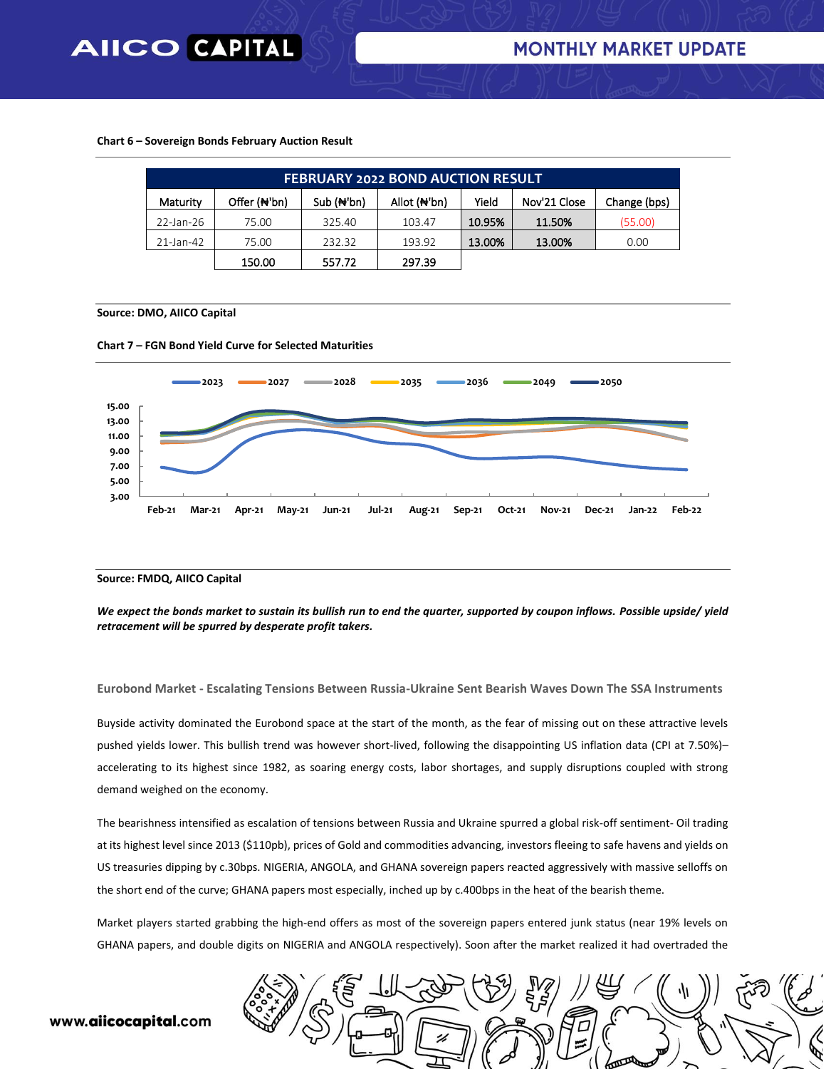#### **Chart 6 – Sovereign Bonds February Auction Result**

| <b>FEBRUARY 2022 BOND AUCTION RESULT</b> |                           |             |              |        |              |              |  |  |
|------------------------------------------|---------------------------|-------------|--------------|--------|--------------|--------------|--|--|
| Maturity                                 | Offer ( <del>N</del> 'bn) | $Sub(H+bn)$ | Allot (N'bn) | Yield  | Nov'21 Close | Change (bps) |  |  |
| 22-Jan-26                                | 75.00                     | 325.40      | 103.47       | 10.95% | 11.50%       | (55.00)      |  |  |
| 21-Jan-42                                | 75.00                     | 232.32      | 193.92       | 13.00% | 13.00%       | 0.00         |  |  |
|                                          | 150.00                    | 557.72      | 297.39       |        |              |              |  |  |

#### **Source: DMO, AIICO Capital**





#### **Source: FMDQ, AIICO Capital**

*We expect the bonds market to sustain its bullish run to end the quarter, supported by coupon inflows. Possible upside/ yield retracement will be spurred by desperate profit takers.*

**Eurobond Market - Escalating Tensions Between Russia-Ukraine Sent Bearish Waves Down The SSA Instruments**

Buyside activity dominated the Eurobond space at the start of the month, as the fear of missing out on these attractive levels pushed yields lower. This bullish trend was however short-lived, following the disappointing US inflation data (CPI at 7.50%)– accelerating to its highest since 1982, as soaring energy costs, labor shortages, and supply disruptions coupled with strong demand weighed on the economy.

The bearishness intensified as escalation of tensions between Russia and Ukraine spurred a global risk-off sentiment- Oil trading at its highest level since 2013 (\$110pb), prices of Gold and commodities advancing, investors fleeing to safe havens and yields on US treasuries dipping by c.30bps. NIGERIA, ANGOLA, and GHANA sovereign papers reacted aggressively with massive selloffs on the short end of the curve; GHANA papers most especially, inched up by c.400bps in the heat of the bearish theme.

Market players started grabbing the high-end offers as most of the sovereign papers entered junk status (near 19% levels on GHANA papers, and double digits on NIGERIA and ANGOLA respectively). Soon after the market realized it had overtraded the

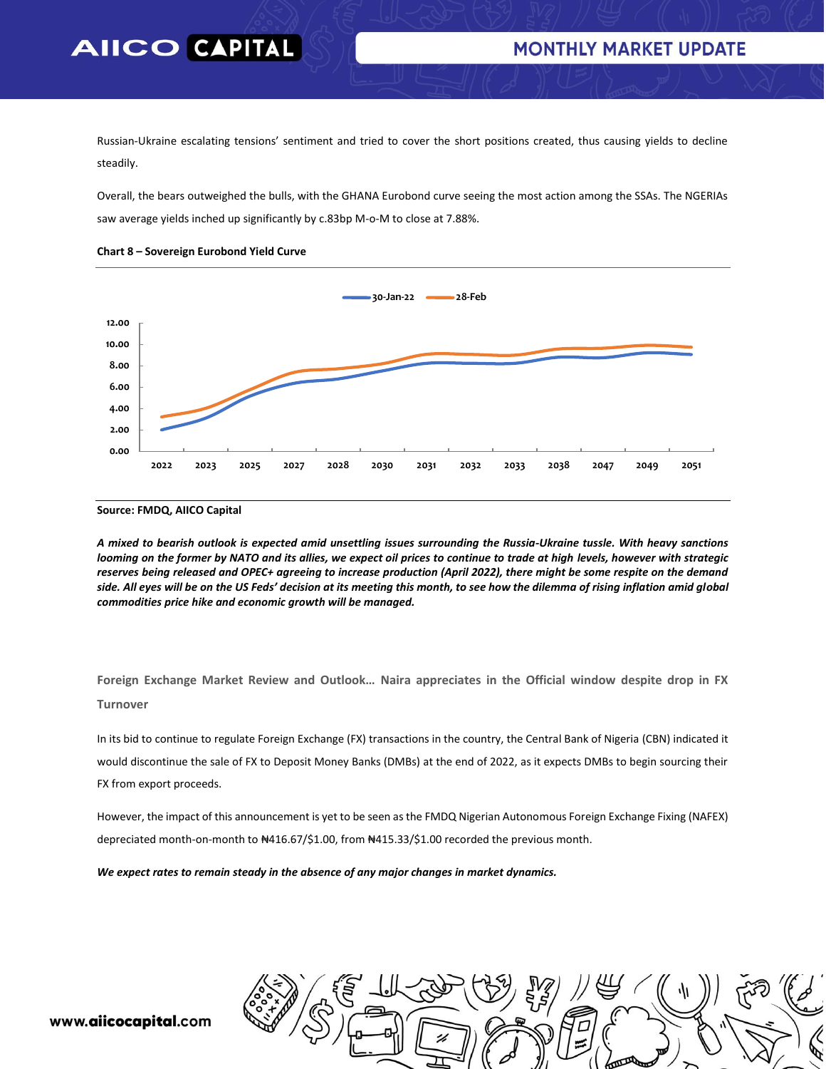Russian-Ukraine escalating tensions' sentiment and tried to cover the short positions created, thus causing yields to decline steadily.

Overall, the bears outweighed the bulls, with the GHANA Eurobond curve seeing the most action among the SSAs. The NGERIAs saw average yields inched up significantly by c.83bp M-o-M to close at 7.88%.



#### **Chart 8 – Sovereign Eurobond Yield Curve**

#### **Source: FMDQ, AIICO Capital**

*A mixed to bearish outlook is expected amid unsettling issues surrounding the Russia-Ukraine tussle. With heavy sanctions looming on the former by NATO and its allies, we expect oil prices to continue to trade at high levels, however with strategic reserves being released and OPEC+ agreeing to increase production (April 2022), there might be some respite on the demand side. All eyes will be on the US Feds' decision at its meeting this month, to see how the dilemma of rising inflation amid global commodities price hike and economic growth will be managed.* 

**Foreign Exchange Market Review and Outlook… Naira appreciates in the Official window despite drop in FX Turnover**

In its bid to continue to regulate Foreign Exchange (FX) transactions in the country, the Central Bank of Nigeria (CBN) indicated it would discontinue the sale of FX to Deposit Money Banks (DMBs) at the end of 2022, as it expects DMBs to begin sourcing their FX from export proceeds.

However, the impact of this announcement is yet to be seen as the FMDQ Nigerian Autonomous Foreign Exchange Fixing (NAFEX) depreciated month-on-month to ₦416.67/\$1.00, from ₦415.33/\$1.00 recorded the previous month.

*We expect rates to remain steady in the absence of any major changes in market dynamics.*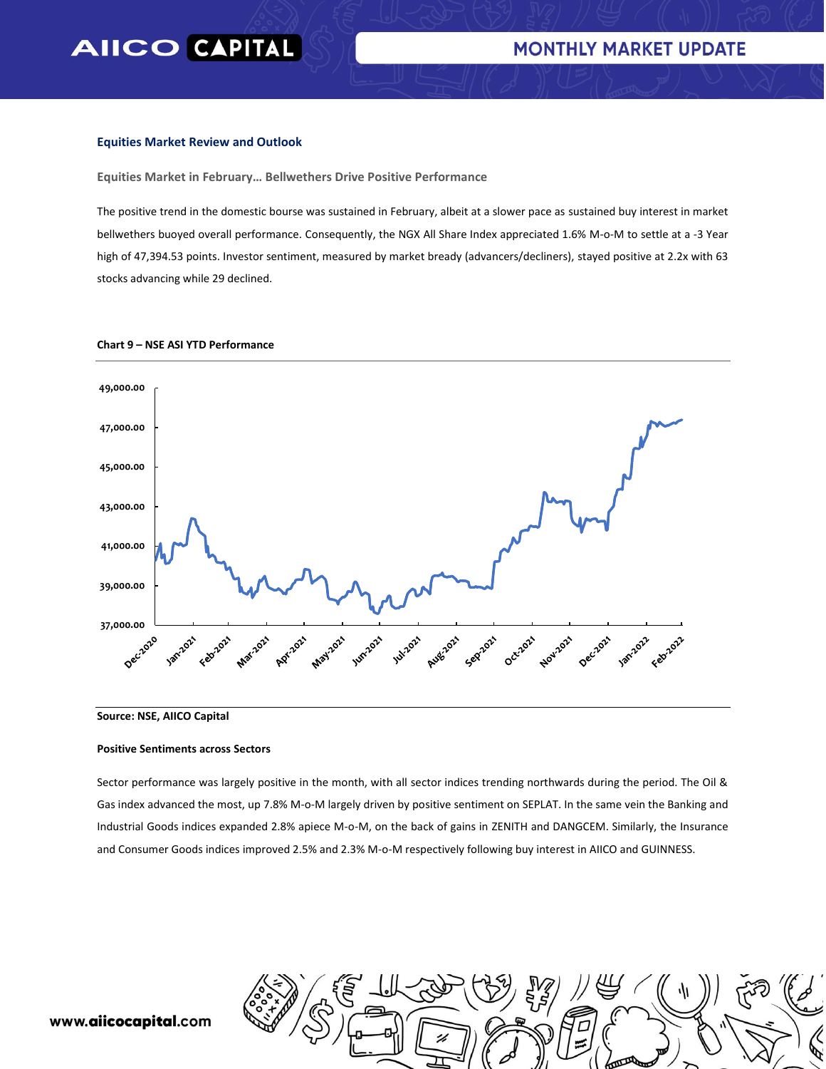#### **Equities Market Review and Outlook**

**Equities Market in February… Bellwethers Drive Positive Performance**

The positive trend in the domestic bourse was sustained in February, albeit at a slower pace as sustained buy interest in market bellwethers buoyed overall performance. Consequently, the NGX All Share Index appreciated 1.6% M-o-M to settle at a -3 Year high of 47,394.53 points. Investor sentiment, measured by market bready (advancers/decliners), stayed positive at 2.2x with 63 stocks advancing while 29 declined.



#### **Chart 9 – NSE ASI YTD Performance**

**Source: NSE, AIICO Capital**

#### **Positive Sentiments across Sectors**

Sector performance was largely positive in the month, with all sector indices trending northwards during the period. The Oil & Gas index advanced the most, up 7.8% M-o-M largely driven by positive sentiment on SEPLAT. In the same vein the Banking and Industrial Goods indices expanded 2.8% apiece M-o-M, on the back of gains in ZENITH and DANGCEM. Similarly, the Insurance and Consumer Goods indices improved 2.5% and 2.3% M-o-M respectively following buy interest in AIICO and GUINNESS.